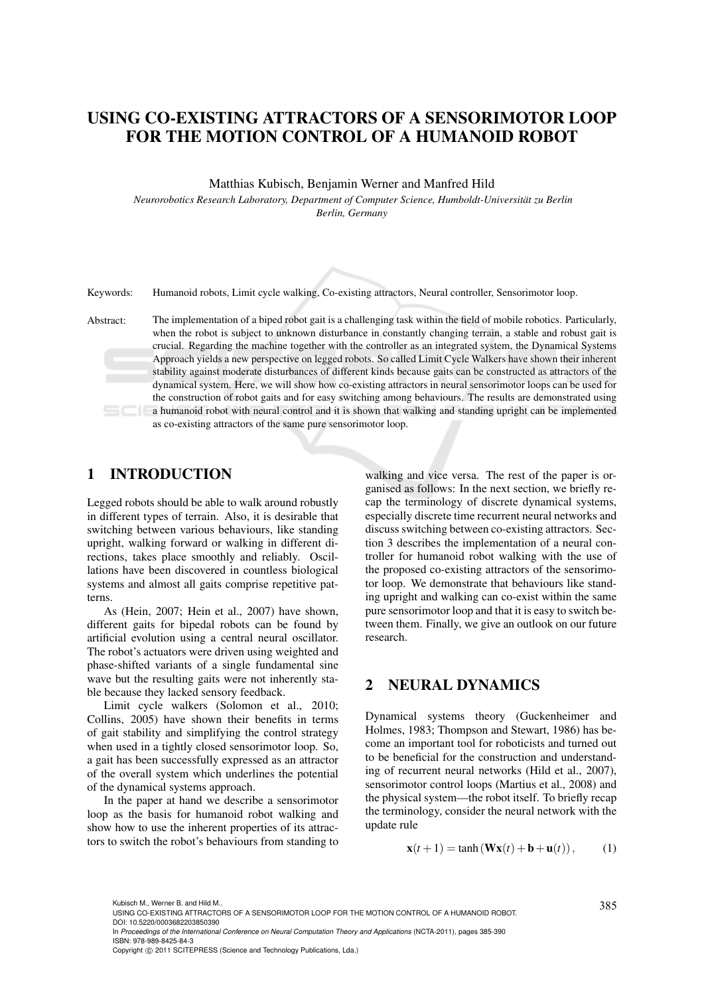# USING CO-EXISTING ATTRACTORS OF A SENSORIMOTOR LOOP FOR THE MOTION CONTROL OF A HUMANOID ROBOT

Matthias Kubisch, Benjamin Werner and Manfred Hild

*Neurorobotics Research Laboratory, Department of Computer Science, Humboldt-Universität zu Berlin Berlin, Germany*

Keywords: Humanoid robots, Limit cycle walking, Co-existing attractors, Neural controller, Sensorimotor loop.

Abstract: The implementation of a biped robot gait is a challenging task within the field of mobile robotics. Particularly, when the robot is subject to unknown disturbance in constantly changing terrain, a stable and robust gait is crucial. Regarding the machine together with the controller as an integrated system, the Dynamical Systems Approach yields a new perspective on legged robots. So called Limit Cycle Walkers have shown their inherent stability against moderate disturbances of different kinds because gaits can be constructed as attractors of the dynamical system. Here, we will show how co-existing attractors in neural sensorimotor loops can be used for the construction of robot gaits and for easy switching among behaviours. The results are demonstrated using a humanoid robot with neural control and it is shown that walking and standing upright can be implemented as co-existing attractors of the same pure sensorimotor loop.

# 1 INTRODUCTION

Legged robots should be able to walk around robustly in different types of terrain. Also, it is desirable that switching between various behaviours, like standing upright, walking forward or walking in different directions, takes place smoothly and reliably. Oscillations have been discovered in countless biological systems and almost all gaits comprise repetitive patterns.

As (Hein, 2007; Hein et al., 2007) have shown, different gaits for bipedal robots can be found by artificial evolution using a central neural oscillator. The robot's actuators were driven using weighted and phase-shifted variants of a single fundamental sine wave but the resulting gaits were not inherently stable because they lacked sensory feedback.

Limit cycle walkers (Solomon et al., 2010; Collins, 2005) have shown their benefits in terms of gait stability and simplifying the control strategy when used in a tightly closed sensorimotor loop. So, a gait has been successfully expressed as an attractor of the overall system which underlines the potential of the dynamical systems approach.

In the paper at hand we describe a sensorimotor loop as the basis for humanoid robot walking and show how to use the inherent properties of its attractors to switch the robot's behaviours from standing to

walking and vice versa. The rest of the paper is organised as follows: In the next section, we briefly recap the terminology of discrete dynamical systems, especially discrete time recurrent neural networks and discuss switching between co-existing attractors. Section 3 describes the implementation of a neural controller for humanoid robot walking with the use of the proposed co-existing attractors of the sensorimotor loop. We demonstrate that behaviours like standing upright and walking can co-exist within the same pure sensorimotor loop and that it is easy to switch between them. Finally, we give an outlook on our future research.

# 2 NEURAL DYNAMICS

Dynamical systems theory (Guckenheimer and Holmes, 1983; Thompson and Stewart, 1986) has become an important tool for roboticists and turned out to be beneficial for the construction and understanding of recurrent neural networks (Hild et al., 2007), sensorimotor control loops (Martius et al., 2008) and the physical system—the robot itself. To briefly recap the terminology, consider the neural network with the update rule

$$
\mathbf{x}(t+1) = \tanh\left(\mathbf{W}\mathbf{x}(t) + \mathbf{b} + \mathbf{u}(t)\right),\tag{1}
$$

<sup>385</sup> Kubisch M., Werner B. and Hild M.. USING CO-EXISTING ATTRACTORS OF A SENSORIMOTOR LOOP FOR THE MOTION CONTROL OF A HUMANOID ROBOT. DOI: 10.5220/0003682203850390

In *Proceedings of the International Conference on Neural Computation Theory and Applications* (NCTA-2011), pages 385-390 ISBN: 978-989-8425-84-3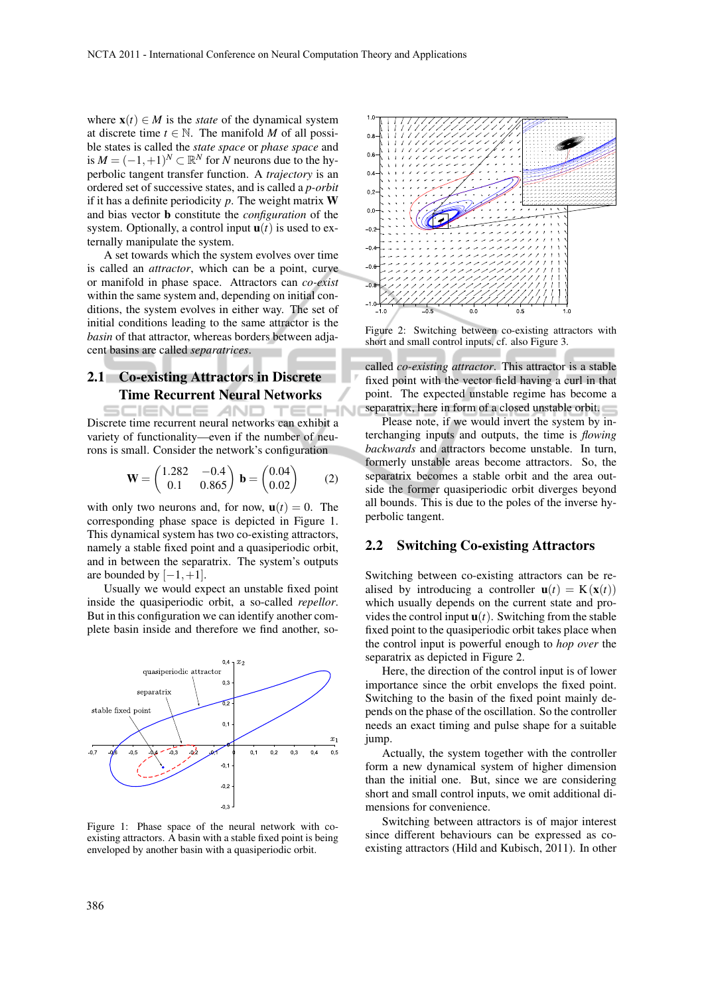where  $\mathbf{x}(t) \in M$  is the *state* of the dynamical system at discrete time  $t \in \mathbb{N}$ . The manifold *M* of all possible states is called the *state space* or *phase space* and is  $M = (-1, +1)^N$  ⊂  $\mathbb{R}^N$  for  $N$  neurons due to the hyperbolic tangent transfer function. A *trajectory* is an ordered set of successive states, and is called a *p-orbit* if it has a definite periodicity  $p$ . The weight matrix  $W$ and bias vector b constitute the *configuration* of the system. Optionally, a control input  $\mathbf{u}(t)$  is used to externally manipulate the system.

A set towards which the system evolves over time is called an *attractor*, which can be a point, curve or manifold in phase space. Attractors can *co-exist* within the same system and, depending on initial conditions, the system evolves in either way. The set of initial conditions leading to the same attractor is the *basin* of that attractor, whereas borders between adjacent basins are called *separatrices*.

## 2.1 Co-existing Attractors in Discrete Time Recurrent Neural Networks

IENCE *A*ND rec Discrete time recurrent neural networks can exhibit a variety of functionality—even if the number of neurons is small. Consider the network's configuration

$$
\mathbf{W} = \begin{pmatrix} 1.282 & -0.4 \\ 0.1 & 0.865 \end{pmatrix} \mathbf{b} = \begin{pmatrix} 0.04 \\ 0.02 \end{pmatrix} \tag{2}
$$

with only two neurons and, for now,  $\mathbf{u}(t) = 0$ . The corresponding phase space is depicted in Figure 1. This dynamical system has two co-existing attractors, namely a stable fixed point and a quasiperiodic orbit, and in between the separatrix. The system's outputs are bounded by  $[-1, +1]$ .

Usually we would expect an unstable fixed point inside the quasiperiodic orbit, a so-called *repellor*. But in this configuration we can identify another complete basin inside and therefore we find another, so-



Figure 1: Phase space of the neural network with coexisting attractors. A basin with a stable fixed point is being enveloped by another basin with a quasiperiodic orbit.



Figure 2: Switching between co-existing attractors with short and small control inputs, cf. also Figure 3.

called *co-existing attractor*. This attractor is a stable fixed point with the vector field having a curl in that point. The expected unstable regime has become a separatrix, here in form of a closed unstable orbit.

Please note, if we would invert the system by interchanging inputs and outputs, the time is *flowing backwards* and attractors become unstable. In turn, formerly unstable areas become attractors. So, the separatrix becomes a stable orbit and the area outside the former quasiperiodic orbit diverges beyond all bounds. This is due to the poles of the inverse hyperbolic tangent.

#### 2.2 Switching Co-existing Attractors

Switching between co-existing attractors can be realised by introducing a controller  $\mathbf{u}(t) = \mathbf{K}(\mathbf{x}(t))$ which usually depends on the current state and provides the control input  $\mathbf{u}(t)$ . Switching from the stable fixed point to the quasiperiodic orbit takes place when the control input is powerful enough to *hop over* the separatrix as depicted in Figure 2.

Here, the direction of the control input is of lower importance since the orbit envelops the fixed point. Switching to the basin of the fixed point mainly depends on the phase of the oscillation. So the controller needs an exact timing and pulse shape for a suitable jump.

Actually, the system together with the controller form a new dynamical system of higher dimension than the initial one. But, since we are considering short and small control inputs, we omit additional dimensions for convenience.

Switching between attractors is of major interest since different behaviours can be expressed as coexisting attractors (Hild and Kubisch, 2011). In other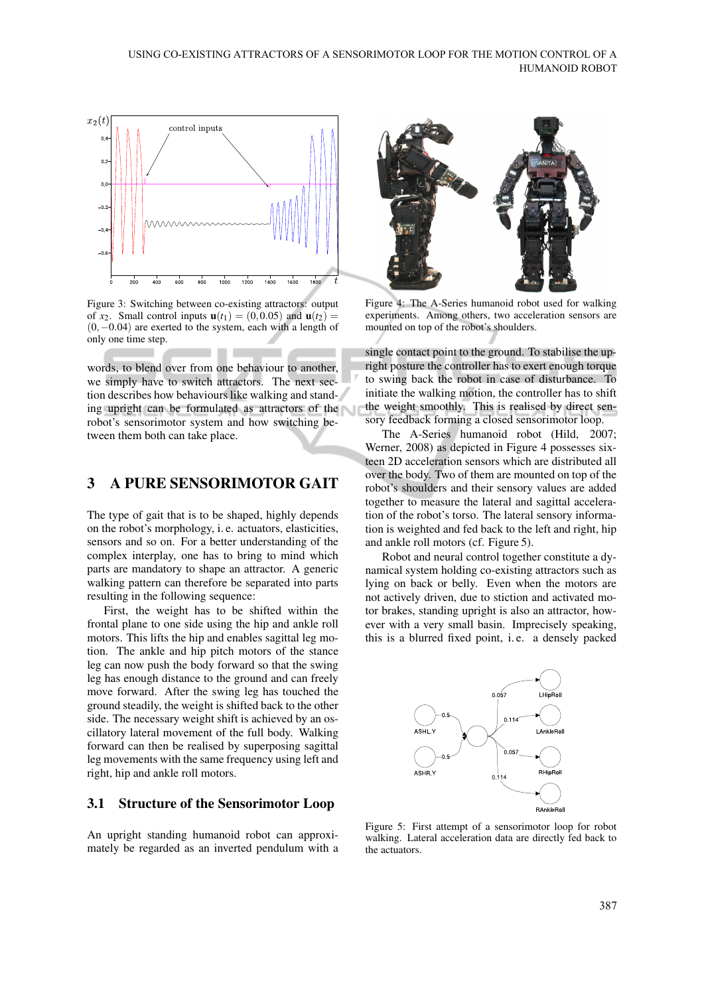

Figure 3: Switching between co-existing attractors: output of  $x_2$ . Small control inputs  $\mathbf{u}(t_1) = (0, 0.05)$  and  $\mathbf{u}(t_2) =$ (0,−0.04) are exerted to the system, each with a length of only one time step.

words, to blend over from one behaviour to another, we simply have to switch attractors. The next section describes how behaviours like walking and standing upright can be formulated as attractors of the robot's sensorimotor system and how switching between them both can take place.

# 3 A PURE SENSORIMOTOR GAIT

The type of gait that is to be shaped, highly depends on the robot's morphology, i. e. actuators, elasticities, sensors and so on. For a better understanding of the complex interplay, one has to bring to mind which parts are mandatory to shape an attractor. A generic walking pattern can therefore be separated into parts resulting in the following sequence:

First, the weight has to be shifted within the frontal plane to one side using the hip and ankle roll motors. This lifts the hip and enables sagittal leg motion. The ankle and hip pitch motors of the stance leg can now push the body forward so that the swing leg has enough distance to the ground and can freely move forward. After the swing leg has touched the ground steadily, the weight is shifted back to the other side. The necessary weight shift is achieved by an oscillatory lateral movement of the full body. Walking forward can then be realised by superposing sagittal leg movements with the same frequency using left and right, hip and ankle roll motors.

#### 3.1 Structure of the Sensorimotor Loop

An upright standing humanoid robot can approximately be regarded as an inverted pendulum with a



Figure 4: The A-Series humanoid robot used for walking experiments. Among others, two acceleration sensors are mounted on top of the robot's shoulders.

single contact point to the ground. To stabilise the upright posture the controller has to exert enough torque to swing back the robot in case of disturbance. To initiate the walking motion, the controller has to shift the weight smoothly. This is realised by direct sensory feedback forming a closed sensorimotor loop.

The A-Series humanoid robot (Hild, 2007; Werner, 2008) as depicted in Figure 4 possesses sixteen 2D acceleration sensors which are distributed all over the body. Two of them are mounted on top of the robot's shoulders and their sensory values are added together to measure the lateral and sagittal acceleration of the robot's torso. The lateral sensory information is weighted and fed back to the left and right, hip and ankle roll motors (cf. Figure 5).

Robot and neural control together constitute a dynamical system holding co-existing attractors such as lying on back or belly. Even when the motors are not actively driven, due to stiction and activated motor brakes, standing upright is also an attractor, however with a very small basin. Imprecisely speaking, this is a blurred fixed point, i. e. a densely packed



Figure 5: First attempt of a sensorimotor loop for robot walking. Lateral acceleration data are directly fed back to the actuators.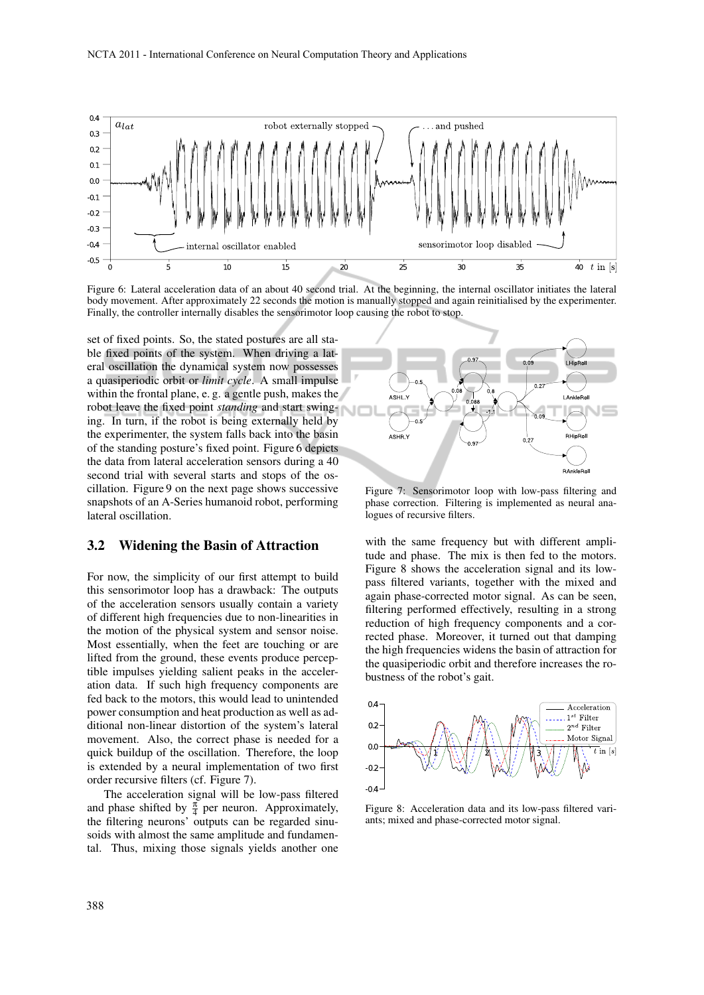

Figure 6: Lateral acceleration data of an about 40 second trial. At the beginning, the internal oscillator initiates the lateral body movement. After approximately 22 seconds the motion is manually stopped and again reinitialised by the experimenter. Finally, the controller internally disables the sensorimotor loop causing the robot to stop.

set of fixed points. So, the stated postures are all stable fixed points of the system. When driving a lateral oscillation the dynamical system now possesses a quasiperiodic orbit or *limit cycle*. A small impulse within the frontal plane, e. g. a gentle push, makes the robot leave the fixed point *standing* and start swinging. In turn, if the robot is being externally held by the experimenter, the system falls back into the basin of the standing posture's fixed point. Figure 6 depicts the data from lateral acceleration sensors during a 40 second trial with several starts and stops of the oscillation. Figure 9 on the next page shows successive snapshots of an A-Series humanoid robot, performing lateral oscillation.

#### 3.2 Widening the Basin of Attraction

For now, the simplicity of our first attempt to build this sensorimotor loop has a drawback: The outputs of the acceleration sensors usually contain a variety of different high frequencies due to non-linearities in the motion of the physical system and sensor noise. Most essentially, when the feet are touching or are lifted from the ground, these events produce perceptible impulses yielding salient peaks in the acceleration data. If such high frequency components are fed back to the motors, this would lead to unintended power consumption and heat production as well as additional non-linear distortion of the system's lateral movement. Also, the correct phase is needed for a quick buildup of the oscillation. Therefore, the loop is extended by a neural implementation of two first order recursive filters (cf. Figure 7).

The acceleration signal will be low-pass filtered and phase shifted by  $\frac{\pi}{4}$  per neuron. Approximately, the filtering neurons' outputs can be regarded sinusoids with almost the same amplitude and fundamental. Thus, mixing those signals yields another one



Figure 7: Sensorimotor loop with low-pass filtering and phase correction. Filtering is implemented as neural analogues of recursive filters.

with the same frequency but with different amplitude and phase. The mix is then fed to the motors. Figure 8 shows the acceleration signal and its lowpass filtered variants, together with the mixed and again phase-corrected motor signal. As can be seen, filtering performed effectively, resulting in a strong reduction of high frequency components and a corrected phase. Moreover, it turned out that damping the high frequencies widens the basin of attraction for the quasiperiodic orbit and therefore increases the robustness of the robot's gait.



Figure 8: Acceleration data and its low-pass filtered variants; mixed and phase-corrected motor signal.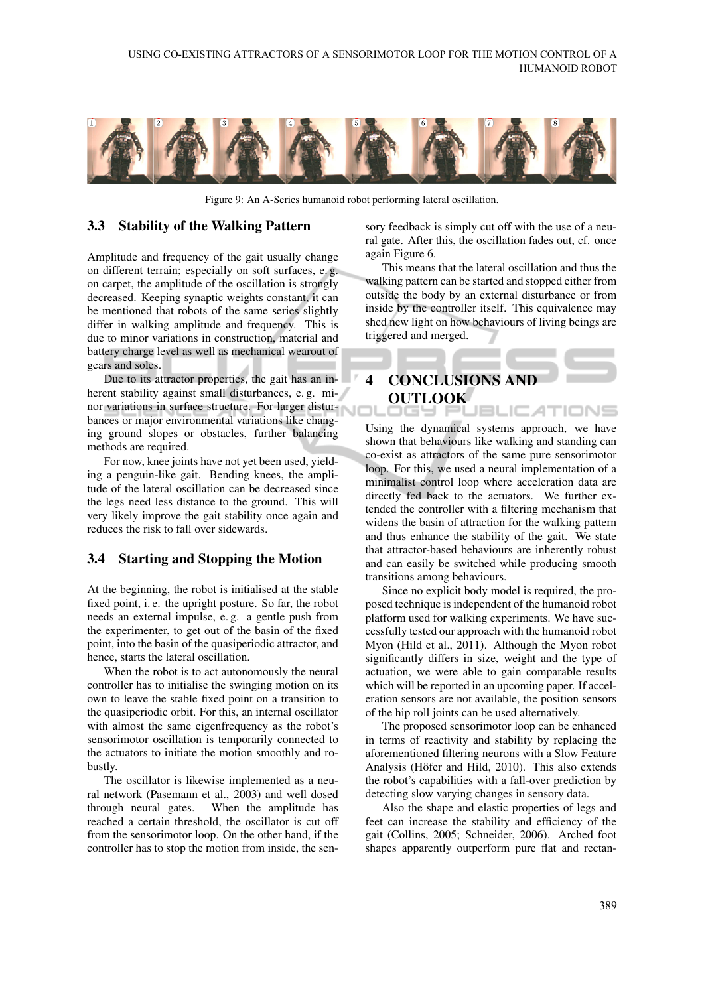

Figure 9: An A-Series humanoid robot performing lateral oscillation.

#### 3.3 Stability of the Walking Pattern

Amplitude and frequency of the gait usually change on different terrain; especially on soft surfaces, e. g. on carpet, the amplitude of the oscillation is strongly decreased. Keeping synaptic weights constant, it can be mentioned that robots of the same series slightly differ in walking amplitude and frequency. This is due to minor variations in construction, material and battery charge level as well as mechanical wearout of gears and soles.

Due to its attractor properties, the gait has an inherent stability against small disturbances, e.g. minor variations in surface structure. For larger disturbances or major environmental variations like changing ground slopes or obstacles, further balancing methods are required.

For now, knee joints have not yet been used, yielding a penguin-like gait. Bending knees, the amplitude of the lateral oscillation can be decreased since the legs need less distance to the ground. This will very likely improve the gait stability once again and reduces the risk to fall over sidewards.

#### 3.4 Starting and Stopping the Motion

At the beginning, the robot is initialised at the stable fixed point, i. e. the upright posture. So far, the robot needs an external impulse, e. g. a gentle push from the experimenter, to get out of the basin of the fixed point, into the basin of the quasiperiodic attractor, and hence, starts the lateral oscillation.

When the robot is to act autonomously the neural controller has to initialise the swinging motion on its own to leave the stable fixed point on a transition to the quasiperiodic orbit. For this, an internal oscillator with almost the same eigenfrequency as the robot's sensorimotor oscillation is temporarily connected to the actuators to initiate the motion smoothly and robustly.

The oscillator is likewise implemented as a neural network (Pasemann et al., 2003) and well dosed through neural gates. When the amplitude has reached a certain threshold, the oscillator is cut off from the sensorimotor loop. On the other hand, if the controller has to stop the motion from inside, the sensory feedback is simply cut off with the use of a neural gate. After this, the oscillation fades out, cf. once again Figure 6.

This means that the lateral oscillation and thus the walking pattern can be started and stopped either from outside the body by an external disturbance or from inside by the controller itself. This equivalence may shed new light on how behaviours of living beings are triggered and merged.

### 4 CONCLUSIONS AND OUTLOOK JBLIC ATIONS

Using the dynamical systems approach, we have shown that behaviours like walking and standing can co-exist as attractors of the same pure sensorimotor loop. For this, we used a neural implementation of a minimalist control loop where acceleration data are directly fed back to the actuators. We further extended the controller with a filtering mechanism that widens the basin of attraction for the walking pattern and thus enhance the stability of the gait. We state that attractor-based behaviours are inherently robust and can easily be switched while producing smooth transitions among behaviours.

Since no explicit body model is required, the proposed technique is independent of the humanoid robot platform used for walking experiments. We have successfully tested our approach with the humanoid robot Myon (Hild et al., 2011). Although the Myon robot significantly differs in size, weight and the type of actuation, we were able to gain comparable results which will be reported in an upcoming paper. If acceleration sensors are not available, the position sensors of the hip roll joints can be used alternatively.

The proposed sensorimotor loop can be enhanced in terms of reactivity and stability by replacing the aforementioned filtering neurons with a Slow Feature Analysis (Höfer and Hild, 2010). This also extends the robot's capabilities with a fall-over prediction by detecting slow varying changes in sensory data.

Also the shape and elastic properties of legs and feet can increase the stability and efficiency of the gait (Collins, 2005; Schneider, 2006). Arched foot shapes apparently outperform pure flat and rectan